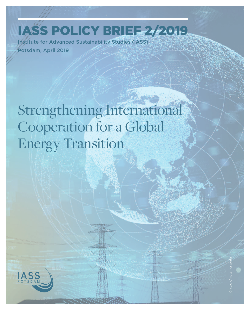IASS Policy Brief 2/2019

Institute for Advanced Sustainability Studies (IASS) Potsdam, April 2019

Strengthening International Cooperation for a Global Energy Transition

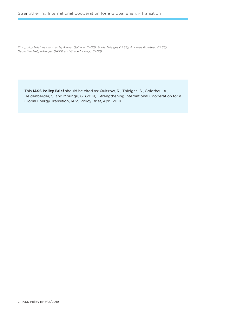*This policy brief was written by Rainer Quitzow (IASS), Sonja Thielges (IASS), Andreas Goldthau (IASS), Sebastian Helgenberger (IASS) and Grace Mbungu (IASS).*

This **IASS Policy Brief** should be cited as: Quitzow, R., Thielges, S., Goldthau, A., Helgenberger, S. and Mbungu, G. (2019): Strengthening International Cooperation for a Global Energy Transition, IASS Policy Brief, April 2019.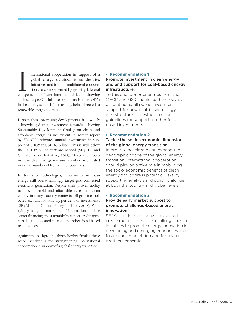nternational cooperation in support of a global energy transition is on the rise. Initiatives and fora for multilateral cooperation are complemented by growing bilateral nternational cooperation in support of a global energy transition is on the rise.<br>Initiatives and fora for multilateral cooperation are complemented by growing bilateral<br>engagement to foster international lesson-drawing and exchange. Official development assistance (ODA) in the energy sector is increasingly being directed to renewable energy sources.

Despite these promising developments, it is widely acknowledged that investment towards achieving Sustainable Development Goal 7 on clean and affordable energy is insufficient. A recent report by SE4ALL estimates annual investments in support of SDG7 at USD 30 billion. This is well below the USD 52 billion that are needed (SE4ALL and Climate Policy Initiative, 2018). Moreover, investment in clean energy remains heavily concentrated in a small number of frontrunner countries.

In terms of technologies, investments in clean energy still overwhelmingly target grid-connected electricity generation. Despite their proven ability to provide rapid and affordable access to clean energy in many country contexts, off-grid technologies account for only 1.3 per cent of investments (SE4ALL and Climate Policy Initiative, 2018). Worryingly, a significant share of international public sector financing, most notably by export-credit agencies, is still allocated to coal and other fossil-based technologies.

Against this background, this policy brief makes three recommendations for strengthening international cooperation in support of a global energy transition.

#### **Recommendation 1**

### Promote investment in clean energy and end support for coal-based energy infrastructure.

To this end, donor countries from the OECD and G20 should lead the way by discontinuing all public investment support for new coal-based energy infrastructure and establish clear guidelines for support to other fossilbased investments.

### **Recommendation 2**

#### Tackle the socio-economic dimension of the global energy transition.

In order to accelerate and expand the geographic scope of the global energy transition, international cooperation should play an active role in mobilising the socio-economic benefits of clean energy and address potential risks by supporting analysis and policy dialogue at both the country and global levels.

#### **Recommendation 3**

#### Provide early market support to promote challenge-based energy innovation.

SE4ALL or Mission Innovation should create multi-stakeholder, challenge-based initiatives to promote energy innovation in developing and emerging economies and foster early market demand for related products or services.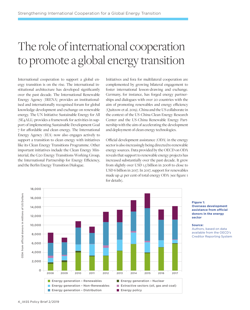# The role of international cooperation to promote a global energy transition

International cooperation to support a global energy transition is on the rise. The international institutional architecture has developed significantly over the past decade. The International Renewable Energy Agency (IRENA) provides an institutionalised and internationally recognised forum for global knowledge development and exchange on renewable energy. The UN Initiative Sustainable Energy for All (SE4ALL) provides a framework for activities in support of implementing Sustainable Development Goal 7 for affordable and clean energy. The International Energy Agency (IEA) now also engages actively to support a transition to clean energy with initiatives like its Clean Energy Transitions Programme. Other important initiatives include the Clean Energy Ministerial, the G20 Energy Transitions Working Group, the International Partnership for Energy Efficiency, and the Berlin Energy Transition Dialogue.

Initiatives and fora for multilateral cooperation are complemented by growing bilateral engagement to foster international lesson-drawing and exchange. Germany, for instance, has forged energy partnerships and dialogues with over 20 countries with the aim of promoting renewables and energy efficiency (Quitzow et al. 2019). China and the US collaborate in the context of the US-China Clean Energy Research Center and the US-China Renewable Energy Partnership with the aim of accelerating the development and deployment of clean energy technologies.

Official development assistance (ODA) in the energy sector is also increasingly being directed to renewable energy sources. Data provided by the OECD on ODA reveals that support to renewable energy projects has increased substantially over the past decade. It grew from slightly over USD 1.5 billion in 2008 to close to USD 6 billion in 2017. In 2017, support for renewables made up 41 per cent of total energy ODA (see figure 1 for details).



#### **Figure 1: Overseas development assistance from official donors in the energy sector**

#### **Source:**

Authors, based on data available from the OECD's Creditor Reporting System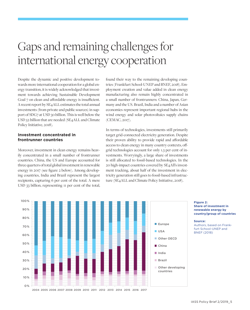## Gaps and remaining challenges for international energy cooperation

Despite the dynamic and positive development towards more international cooperation for a global energy transition, it is widely acknowledged that investment towards achieving Sustainable Development Goal 7 on clean and affordable energy is insufficient. A recent report by SE4ALL estimates the total annual investments (from private and public sources) in support of SDG7 at USD 30 billion. This is well below the USD 52 billion that are needed (SE4ALL and Climate Policy Initiative, 2018).

#### **Investment concentrated in frontrunner countries**

Moreover, investment in clean energy remains heavily concentrated in a small number of frontrunner countries. China, the US and Europe accounted for three quarters of total global investment in renewable energy in 2017 (see figure 2 below). Among developing countries, India and Brazil represent the largest recipients, capturing 6 per cent of the total. A mere USD 33 billion, representing 11 per cent of the total,

found their way to the remaining developing countries (Frankfurt School-UNEP and BNEF, 2018). Employment creation and value added in clean energy manufacturing also remain highly concentrated in a small number of frontrunners: China, Japan, Germany and the US. Brazil, India and a number of Asian economies represent important regional hubs in the wind energy and solar photovoltaics supply chains (CEMAC, 2017).

In terms of technologies, investments still primarily target grid-connected electricity generation. Despite their proven ability to provide rapid and affordable access to clean energy in many country contexts, offgrid technologies account for only 1.3 per cent of investments. Worryingly, a large share of investments is still allocated to fossil-based technologies. In the 20 high-impact countries covered by SE4All's investment tracking, about half of the investment in electricity generation still goes to fossil-based infrastructure (SE4ALL and Climate Policy Initiative, 2018).



#### **Figure 2: Share of investment in renewable energy by country/group of countries**

**Source:** 

Authors, based on Frankfurt School-UNEP and BNEF (2018)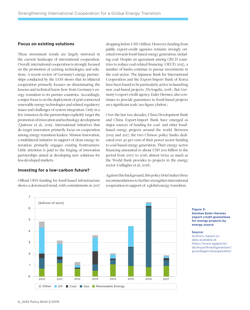#### **Focus on existing solutions**

These investment trends are largely mirrored in the current landscape of international cooperation. Overall, international cooperation is strongly focused on the promotion of existing technologies and solutions. A recent review of Germany's energy partnerships conducted by the IASS shows that its bilateral cooperation primarily focuses on disseminating the lessons and technical know-how from Germany's energy transition to its partner countries. Accordingly, a major focus is on the deployment of grid-connected renewable energy technologies and related regulatory issues and challenges of system integration. Only in a few instances do the partnerships explicitly target the promotion of innovation and technology development (Quitzow et al., 2019). International initiatives that do target innovation primarily focus on cooperation among energy transition leaders. Mission Innovation, a multilateral initiative in support of clean energy innovation, primarily engages existing frontrunners. Little attention is paid to the forging of innovation partnerships aimed at developing new solutions for less developed markets.

#### **Investing for a low-carbon future?**

Official ODA funding for fossil-based infrastructure shows a downward trend, with commitments in 2017

dropping below USD 1 billion. However, funding from public export-credit agencies remains strongly oriented towards fossil-based energy generation, including coal. Despite an agreement among OECD countries to reduce coal-related financing (OECD, 2015), a number of banks continue to pursue investments in the coal sector. The Japanese Bank for International Cooperation and the Export-Import Bank of Korea have been found to be particularly active in launching new coal-based projects (DeAngelis, 2018). But Germany's export-credit agency, Euler Hermes, also continues to provide guarantees to fossil-based projects on a significant scale (see figure 3 below).

Over the last two decades, China Development Bank and China Export-Import Bank have emerged as major sources of funding for coal- and other fossilbased energy projects around the world. Between 2005 and 2017, the two Chinese policy banks dedicated over 40 per cent of their power sector funding to coal-based energy generation. Their energy sector financing amounted to about USD 200 billion in the period from 2007 to 2016, almost twice as much as the World Bank provides to projects in the energy sector (Gallagher et al., 2018).

Against this background, this policy brief makes three recommendations to further strengthen international cooperation in support of a global energy transition.



**Figure 3: German Euler-Hermes export credit guarantees for energy projects by energy source**

#### **Source:**

Authors, based on data available at https://www.agaportal. de/exportkreditgarantien/ grundlagen/energiesektor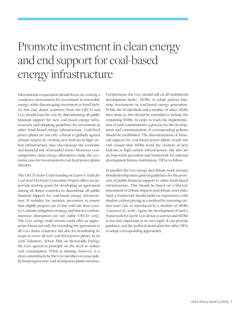## Promote investment in clean energy and end support for coal-based energy infrastructure

International cooperation should focus on creating a conducive environment for investment in renewable energy, while discouraging investment in fossil fuels. To this end, donor countries from the OECD and G20 should lead the way by discontinuing all public financial support for new coal-based energy infrastructure and adopting guidelines for investment in other fossil-based energy infrastructure. Coal-fired power plants are not only a threat to globally agreed climate targets; by creating new lock-ins in high carbon infrastructure, they also increase the economic and financial risk of stranded assets. Moreover, costcompetitive clean energy alternatives make the economic case for investments in coal-fired power plants obsolete.

The OECD *Sector Understanding on Export Credits for Coal-fired Electricity Generation Projects* offers an important starting point for developing an agreement among all donor countries to discontinue all public financial support for coal-based energy infrastructure. It includes, for instance, provisions to ensure that eligible projects are in line with the host country's climate mitigation strategy and that less carbonintensive alternatives are not viable (OECD, 2015). The G20 energy work stream could offer an appropriate forum not only for extending the agreement to all G20 donor countries, but also for broadening its scope to cover all new coal-fired power plants. In its 2016 Voluntary Action Plan on Renewable Energy, the G20 agreed in principle on the need to reduce coal consumption. What is missing, however, is a clear commitment by the G20 members to cease public financing for new coal-fired power plants overseas.

Furthermore, the G20 should call on all multilateral development banks (MDBs) to adopt policies banning investments in coal-based energy generation. While the World Bank and a number of other MDBs have done so, this should be extended to include the remaining MDBs. In order to track the implementation of such commitments, a process for the development and communication of corresponding policies should be established. The discontinuation of financial support for coal-based power plants would not only ensure that MDBs avoid the creation of new lock-ins in high carbon infrastructure, but also set an important precedent and framework for national development finance institutions (DFIs) to follow.

In parallel, the G20 energy and climate work streams should develop more general guidelines for the provision of public financial support to other fossil-based infrastructure. This should be based on a lifecycle assessment of climate impacts and climate asset risks. Such a framework should build on experiences with shadow carbon pricing as a method for assessing carbon asset risk, as introduced by a number of MDBs (Larsen et al., 2018). Again, the development of such a framework for use by G20 donor countries and MDBs is not only important in its own right. It can provide guidance and the political motivation for other DFIs to adopt corresponding approaches.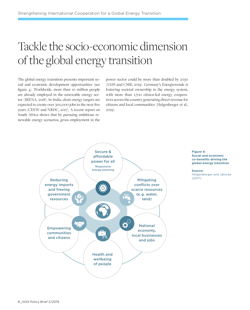# Tackle the socio-economic dimension of the global energy transition

The global energy transition presents important social and economic development opportunities (see figure 4). Worldwide, more than 10 million people are already employed in the renewable energy sector (IRENA, 2018). In India, clean energy targets are expected to create over 300,000 jobs in the next five years (CEEW and NRDC, 2017). A recent report on South Africa shows that by pursuing ambitious renewable energy scenarios, gross employment in the power sector could be more than doubled by 2030 (IASS and CSIR, 2019). Germany's Energiewende is fostering societal ownership in the energy system, with more than 1,700 citizen-led energy cooperatives across the country generating direct revenue for citizens and local communities (Helgenberger et al., 2019).



**Figure 4: Social and economic co-benefits driving the global energy transition** 

**Source:**  Helgenberger and Jänicke (2017)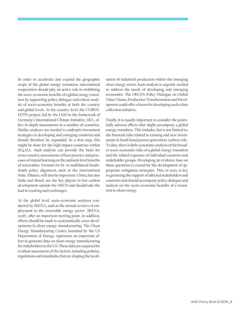In order to accelerate and expand the geographic scope of the global energy transition, international cooperation should play an active role in mobilising the socio-economic benefits of a global energy transition by supporting policy dialogue and robust analysis of socio-economic benefits at both the country and global levels. At the country level, the COBEN-EFITS project, led by the IASS in the framework of Germany's International Climate Initiative (IKI), offers in-depth assessments in a number of countries. Similar analyses are needed to underpin investment strategies in developing and emerging countries and should therefore be expanded. In a first step, this might be done for the high-impact countries within SE4ALL. Such analysis can provide the basis for cross-country assessments of best practice and processes of mutual learning on the national-level benefits of renewables. Formats for bi- or multilateral South-South policy alignment, such as the International Solar Alliance, will also be important. China, but also India and Brazil, are the key players in low-carbon development outside the OECD and should take the lead in creating such exchanges.

At the global level, socio-economic analyses conducted by IRENA, such as the annual reviews of employment in the renewable energy sector (IRENA, 2018), offer an important starting point. In addition, efforts should be made to systematically cover developments in clean energy manufacturing. The Clean Energy Manufacturing Center, launched by the US Department of Energy, represents an important effort to generate data on clean energy manufacturing for stakeholders in the US. These data are required for a robust assessment of the factors, including policies, regulations and standards, that are shaping the localisation of industrial production within the emerging clean energy sector. Such analysis is urgently needed to address the needs of developing and emerging economies. The OECD's Policy Dialogue on Global Value Chains, Production Transformation and Development could offer a forum for developing such a data collection initiative.

Finally, it is equally important to consider the potentially adverse effects that might accompany a global energy transition. This includes, but is not limited to, the financial risks related to existing and new investments in fossil-based power generation (carbon risk). To date, there is little systematic analysis of the broader socio-economic risks of a global energy transition and the related exposure of individual countries and stakeholder groups. Developing an evidence base on these questions is crucial for the development of appropriate mitigation strategies. This, in turn, is key to garnering the support of affected stakeholders and countries and should accompany policy dialogue and analysis on the socio-economic benefits of a transition to clean energy.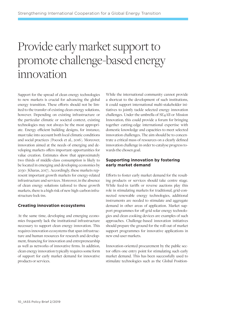## Provide early market support to promote challenge-based energy innovation

Support for the spread of clean energy technologies to new markets is crucial for advancing the global energy transition. These efforts should not be limited to the transfer of existing clean energy solutions, however. Depending on existing infrastructure or the particular climatic or societal context, existing technologies may not always be the most appropriate. Energy efficient building designs, for instance, must take into account both local climatic conditions and social practices (Pocock et al., 2016). Moreover, innovation aimed at the needs of emerging and developing markets offers important opportunities for value creation. Estimates show that approximately two thirds of middle-class consumption is likely to be located in emerging and developing economies by 2030 (Kharas, 2017). Accordingly, these markets represent important growth markets for energy-related infrastructure and services. Moreover, in the absence of clean energy solutions tailored to these growth markets, there is a high risk of new high-carbon infrastructure lock-ins.

#### **Creating innovation ecosystems**

At the same time, developing and emerging economies frequently lack the institutional infrastructure necessary to support clean energy innovation. This requires innovation ecosystems that span infrastructure and human resources for research and development, financing for innovation and entrepreneurship as well as networks of innovative firms. In addition, clean energy innovation typically requires some form of support for early market demand for innovative products or services.

While the international community cannot provide a shortcut to the development of such institutions, it could support international multi-stakeholder initiatives to jointly tackle selected energy innovation challenges. Under the umbrella of SE4All or Mission Innovation, this could provide a forum for bringing together cutting-edge international expertise with domestic knowledge and capacities to meet selected innovation challenges. The aim should be to concentrate a critical mass of resources on a clearly defined innovation challenge in order to catalyse progress towards the chosen goal.

#### **Supporting innovation by fostering early market demand**

Efforts to foster early market demand for the resulting products or services should take centre stage. While feed-in tariffs or reverse auctions play this role in stimulating markets for traditional, grid-connected renewable energy technologies, additional instruments are needed to stimulate and aggregate demand in other areas of application. Market support programmes for off-grid solar energy technologies and clean cooking devices are examples of such approaches. Challenge-based innovation initiatives should prepare the ground for the roll-out of market support programmes for innovative applications in new end-user markets.

Innovation-oriented procurement by the public sector offers one entry point for stimulating such early market demand. This has been successfully used to stimulate technologies such as the Global Position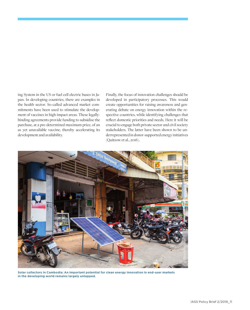ing System in the US or fuel cell electric buses in Japan. In developing countries, there are examples in the health sector. So-called advanced market commitments have been used to stimulate the development of vaccines in high-impact areas. These legallybinding agreements provide funding to subsidise the purchase, at a pre-determined maximum price, of an as yet unavailable vaccine, thereby accelerating its development and availability.

Finally, the focus of innovation challenges should be developed in participatory processes. This would create opportunities for raising awareness and generating debate on energy innovation within the respective countries, while identifying challenges that reflect domestic priorities and needs. Here it will be crucial to engage both private sector and civil society stakeholders. The latter have been shown to be underrepresented in donor-supported energy initiatives (Quitzow et al., 2016).



**Solar collectors in Cambodia: An important potential for clean energy innovation in end-user markets in the developing world remains largely untapped.**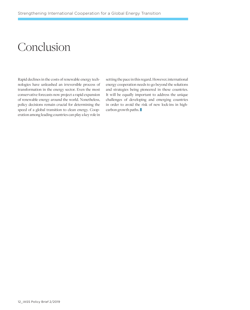## Conclusion

Rapid declines in the costs of renewable energy technologies have unleashed an irreversible process of transformation in the energy sector. Even the most conservative forecasts now project a rapid expansion of renewable energy around the world. Nonetheless, policy decisions remain crucial for determining the speed of a global transition to clean energy. Cooperation among leading countries can play a key role in setting the pace in this regard. However, international energy cooperation needs to go beyond the solutions and strategies being pioneered in these countries. It will be equally important to address the unique challenges of developing and emerging countries in order to avoid the risk of new lock-ins in highcarbon growth paths.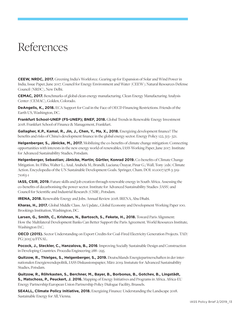## References

**CEEW, NRDC, 2017.** Greening India's Workforce. Gearing up for Expansion of Solar and Wind Power in India, Issue Paper, June 2017. Council for Energy Environment and Water (CEEW); Natural Resources Defense Council (NRDC), New Delhi.

**CEMAC, 2017.** Benchmarks of global clean energy manufacturing. Clean Energy Manufacturing Analysis Center (CEMAC), Golden, Colorado.

**DeAngelis, K., 2018.** ECA Support for Coal in the Face of OECD Financing Restrictions. Friends of the Earth US, Washington, DC.

**Frankfurt School-UNEP (FS-UNEP); BNEF, 2018.** Global Trends in Renewable Energy Investment 2018. Frankfurt School of Finance & Management, Frankfurt.

**Gallagher, K.P., Kamal, R., Jin, J., Chen, Y., Ma, X., 2018.** Energizing development finance? The benefits and risks of China's development finance in the global energy sector. Energy Policy 122, 313 – 321.

**Helgenberger, S., Jänicke, M., 2017.** Mobilizing the co-benefits of climate change mitigation: Connecting opportunities with interests in the new energy world of renewables, IASS Working Paper, June 2017. Institute for Advanced Sustainability Studies, Potsdam.

**Helgenberger, Sebastian; Jänicke, Martin; Gürtler, Konrad 2019.** Co-benefits of Climate Change Mitigation. In: Filho, Walter L.; Azul, Anabela M.; Brandli, Luciana; Özuyar, Pinar G.; Wall, Tony (eds) Climate Action. Encyclopedia of the UN Sustainable Development Goals. Springer, Cham. DOI: 10.1007/978-3-319- 71063-1

**IASS, CSIR, 2019.** Future skills and job creation through renewable energy in South Africa. Assessing the co-benefits of decarbonising the power sector. Institute for Advanced Sustainability Studies (IASS) and Council for Scientific and Industrial Research (CSIR), Potsdam.

**IRENA, 2018.** Renewable Energy and Jobs. Annual Review 2018. IRENA, Abu Dhabi.

**Kharas, H., 2017.** Global Middle Class. An Update., Global Economy and Development Working Paper 100. Brookings Institution, Washington, DC.

**Larsen, G., Smith, C., Krishnan, N., Bartosch, S., Fekete, H., 2018.** Toward Paris Alignment: How the Multilateral Development Banks Can Better Support the Paris Agreement. World Resources Institute, Washington D.C.

**OECD (2015).** Sector Understanding on Export Credits for Coal-Fired Electricity Generation Projects. TAD/ PG(2015)9/FINAL.

**Pocock, J., Steckler, C., Hanzalova, B., 2016**. Improving Socially Sustainable Design and Construction in Developing Countries. Procedia Engineering 288 – 295.

**Quitzow, R., Thielges, S., Helgenberger, S., 2019.** Deutschlands Energiepartnerschaften in der internationalen Energiewendepolitik, IASS Diskussionspapier, März 2019. Instutute for Advanced Sustainability Studies, Potsdam.

**Quitzow, R., Röhrkasten, S., Berchner, M., Bayer, B., Borbonus, B., Gotchev, B., Lingstädt, S., Matschoss, P., Peuckert, J. 2016.** Mapping of Energy Initiatives and Programs in Africa. Africa-EU Energy Partnership/European Union Partnership Policy Dialogue Facility, Brussels.

**SE4ALL, Climate Policy Initiative, 2018.** Energizing Finance: Understanding the Landscape 2018. Sustainable Energy for All, Vienna.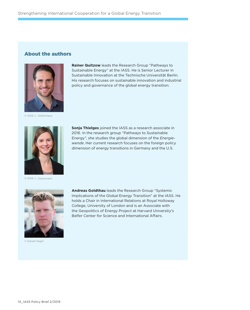### About the authors



© IASS; L. Ostermann



**Sonja Thielges** joined the IASS as a research associate in 2016. In the research group "Pathways to Sustainable Energy", she studies the global dimension of the *Energiewende*. Her current research focuses on the foreign policy dimension of energy transitions in Germany and the U.S.

**Rainer Quitzow** leads the Research Group "Pathways to Sustainable Energy" at the IASS. He is Senior Lecturer in Sustainable Innovation at the Technische Universität Berlin. His research focuses on sustainable innovation and industrial policy and governance of the global energy transition.

© IASS; L. Ostermann



© Daniel Vegel

**Andreas Goldthau** leads the Research Group "Systemic Implications of the Global Energy Transition" at the IASS. He holds a Chair in International Relations at Royal Holloway College, University of London and is an Associate with the Geopolitics of Energy Project at Harvard University's Belfer Center for Science and International Affairs.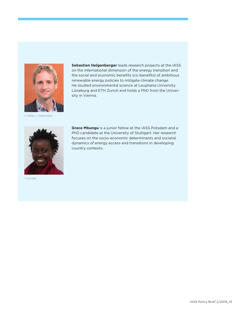

**Sebastian Helgenberger** leads research projects at the IASS on the international dimension of the energy transition and the social and economic benefits (co-benefits) of ambitious renewable energy policies to mitigate climate change. He studied environmental science at Leuphana University Lüneburg and ETH Zurich and holds a PhD from the University in Vienna.

© IASS; L. Ostermann



© private

**Grace Mbungu** is a junior fellow at the IASS Potsdam and a PhD candidate at the University of Stuttgart. Her research focuses on the socio-economic determinants and societal dynamics of energy access and transitions in developing country contexts.